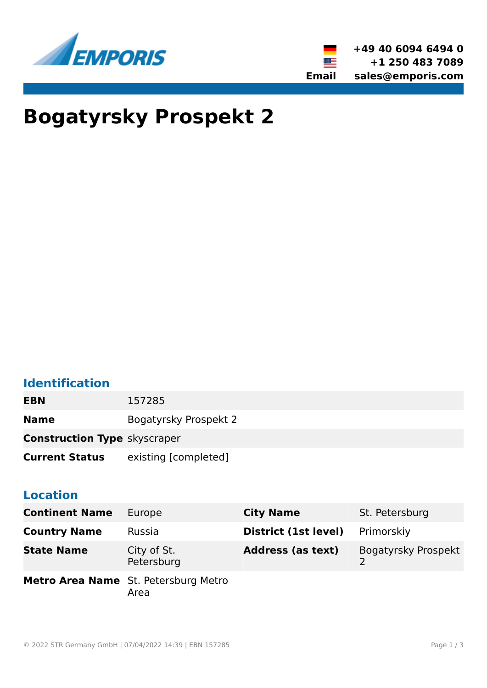



# **Bogatyrsky Prospekt 2**

# **Identification**

**EBN** 157285

**Name** Bogatyrsky Prospekt 2

**Construction Type** skyscraper

**Current Status** existing [completed]

#### **Location**

| <b>Continent Name</b> | Europe                                       | <b>City Name</b>         | St. Petersburg      |
|-----------------------|----------------------------------------------|--------------------------|---------------------|
| <b>Country Name</b>   | <b>Russia</b>                                | District (1st level)     | Primorskiy          |
| <b>State Name</b>     | City of St.<br>Petersburg                    | <b>Address (as text)</b> | Bogatyrsky Prospekt |
|                       | Metro Area Name St. Petersburg Metro<br>Area |                          |                     |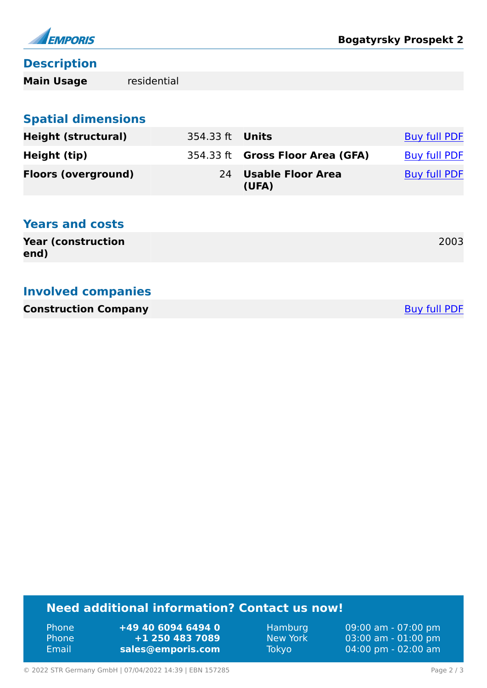

#### **Description**

**Main Usage** residential

# **Spatial dimensions**

| <b>Height (structural)</b> | 354.33 ft <b>Units</b> |                                  | <b>Buy full PDF</b> |
|----------------------------|------------------------|----------------------------------|---------------------|
| Height (tip)               |                        | 354.33 ft Gross Floor Area (GFA) | Buy full PDF        |
| <b>Floors (overground)</b> |                        | 24 Usable Floor Area<br>(UFA)    | <b>Buy full PDF</b> |

### **Years and costs**

| <b>Year (construction)</b> | 2003 |
|----------------------------|------|
| end)                       |      |

#### **Involved companies**

| <b>Construction Company</b> | <b>Buy full PDF</b> |
|-----------------------------|---------------------|
|-----------------------------|---------------------|

## **Need additional information? Contact us now!**

Phone **+49 40 6094 6494 0** Phone **+1 250 483 7089** Email **<sales@emporis.com>**

Hamburg 09:00 am - 07:00 pm New York 03:00 am - 01:00 pm<br>Tokyo 04:00 pm - 02:00 am 04:00 pm - 02:00 am